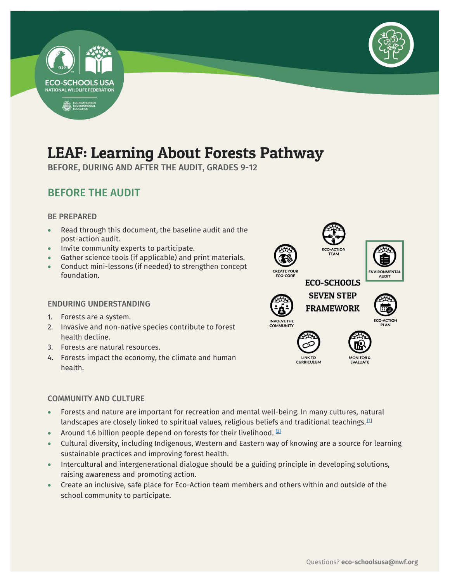



## LEAF: Learning About Forests Pathway

BEFORE, DURING AND AFTER THE AUDIT, GRADES 9-12

#### BEFORE THE AUDIT

#### BE PREPARED

- Read through this document, the baseline audit and the post-action audit.
- Invite community experts to participate.
- Gather science tools (if applicable) and print materials.
- Conduct mini-lessons (if needed) to strengthen concept foundation.

#### ENDURING UNDERSTANDING

- 1. Forests are a system.
- 2. Invasive and non-native species contribute to forest health decline.
- 3. Forests are natural resources.
- 4. Forests impact the economy, the climate and human health.

#### COMMUNITY AND CULTURE

- Forests and nature are important for recreation and mental well-being. In many cultures, natural landscapes are closely linked to spiritual values, religious beliefs and traditional teachings. $^{\text{11}}$
- Around 1.6 billion people depend on forests for their livelihood.  $[2]$
- Cultural diversity, including Indigenous, Western and Eastern way of knowing are a source for learning sustainable practices and improving forest health.
- Intercultural and intergenerational dialogue should be a guiding principle in developing solutions, raising awareness and promoting action.
- Create an inclusive, safe place for Eco-Action team members and others within and outside of the school community to participate.





**LINK TO CURRICULUM** 

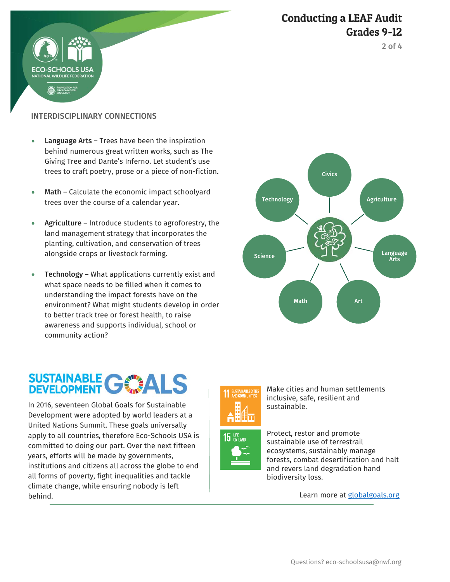



INTERDISCIPLINARY CONNECTIONS

HOOLS US

- Language Arts Trees have been the inspiration behind numerous great written works, such as The Giving Tree and Dante's Inferno. Let student's use trees to craft poetry, prose or a piece of non-fiction.
- Math Calculate the economic impact schoolyard trees over the course of a calendar year.
- Agriculture Introduce students to agroforestry, the land management strategy that incorporates the planting, cultivation, and conservation of trees alongside crops or livestock farming.
- **Technology –** What applications currently exist and what space needs to be filled when it comes to understanding the impact forests have on the environment? What might students develop in order to better track tree or forest health, to raise awareness and supports individual, school or community action?

# SUSTAINABLE GWALS

 In 2016, seventeen Global Goals for Sustainable Development were adopted by world leaders at a United Nations Summit. These goals universally apply to all countries, therefore Eco-Schools USA is committed to doing our part. Over the next fifteen years, efforts will be made by governments, institutions and citizens all across the globe to end all forms of poverty, fight inequalities and tackle climate change, while ensuring nobody is left behind.





Make cities and human settlements inclusive, safe, resilient and sustainable.



Protect, restor and promote sustainable use of terrestrail ecosystems, sustainably manage forests, combat desertification and halt and revers land degradation hand biodiversity loss.

Learn more at **globalgoals.org**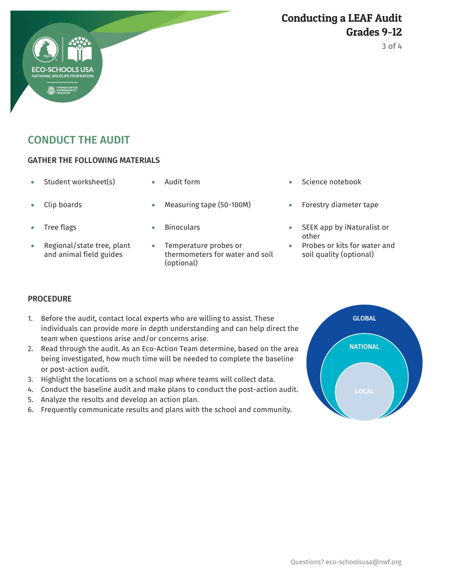#### Conducting a LEAF Audit Grades 9-12

### CONDUCT THE AUDIT

#### GATHER THE FOLLOWING MATERIALS

- 
- 
- 
- Regional/state tree, plant and animal field guides
- 
- Clip boards Measuring tape (50-100M) Forestry diameter tape
	-
	- Temperature probes or thermometers for water and soil (optional)
- Student worksheet(s)  $\bullet$  Audit form  $\bullet$  Science notebook
	-
	- Tree flags Tree flags **SEEK** app by iNaturalist or other
		- Probes or kits for water and soil quality (optional)

#### **PROCEDURE**

- 1. Before the audit, contact local experts who are willing to assist. These individuals can provide more in depth understanding and can help direct the team when questions arise and/or concerns arise.
- 2. Read through the audit. As an Eco-Action Team determine, based on the area being investigated, how much time will be needed to complete the baseline or post-action audit.
- 3. Highlight the locations on a school map where teams will collect data.
- 4. Conduct the baseline audit and make plans to conduct the post-action audit.
- 5. Analyze the results and develop an action plan.
- 6. Frequently communicate results and plans with the school and community.